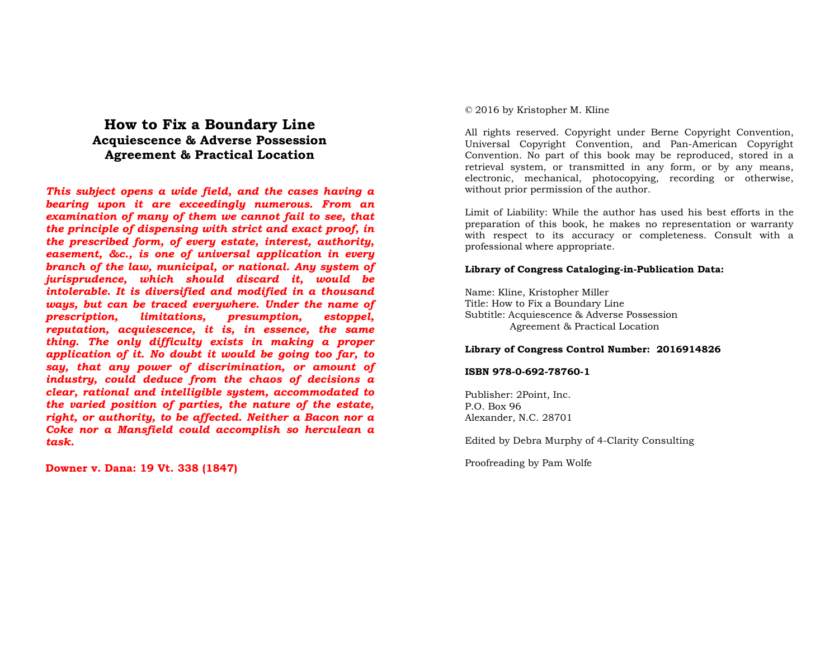## **How to Fix a Boundary Line Acquiescence & Adverse Possession Agreement & Practical Location**

*This subject opens a wide field, and the cases having a bearing upon it are exceedingly numerous. From an examination of many of them we cannot fail to see, that the principle of dispensing with strict and exact proof, in the prescribed form, of every estate, interest, authority, easement, &c., is one of universal application in every branch of the law, municipal, or national. Any system of jurisprudence, which should discard it, would be intolerable. It is diversified and modified in a thousand ways, but can be traced everywhere. Under the name of* estoppel. *prescription, limitations, presumption, reputation, acquiescence, it is, in essence, the same thing. The only difficulty exists in making a proper application of it. No doubt it would be going too far, to say, that any power of discrimination, or amount of industry, could deduce from the chaos of decisions a clear, rational and intelligible system, accommodated to the varied position of parties, the nature of the estate, right, or authority, to be affected. Neither a Bacon nor a Coke nor a Mansfield could accomplish so herculean a task.*

**Downer v. Dana: 19 Vt. 338 (1847)** 

#### © 2016 by Kristopher M. Kline

All rights reserved. Copyright under Berne Copyright Convention, Universal Copyright Convention, and Pan-American Copyright Convention. No part of this book may be reproduced, stored in a retrieval system, or transmitted in any form, or by any means, electronic, mechanical, photocopying, recording or otherwise, without prior permission of the author.

Limit of Liability: While the author has used his best efforts in the preparation of this book, he makes no representation or warranty with respect to its accuracy or completeness. Consult with a professional where appropriate.

#### **Library of Congress Cataloging-in-Publication Data:**

Name: Kline, Kristopher Miller Title: How to Fix a Boundary Line Subtitle: Acquiescence & Adverse Possession Agreement & Practical Location

#### **Library of Congress Control Number: 2016914826**

#### **ISBN 978-0-692-78760-1**

Publisher: 2Point, Inc. P.O. Box 96 Alexander, N.C. 28701

Edited by Debra Murphy of 4-Clarity Consulting

Proofreading by Pam Wolfe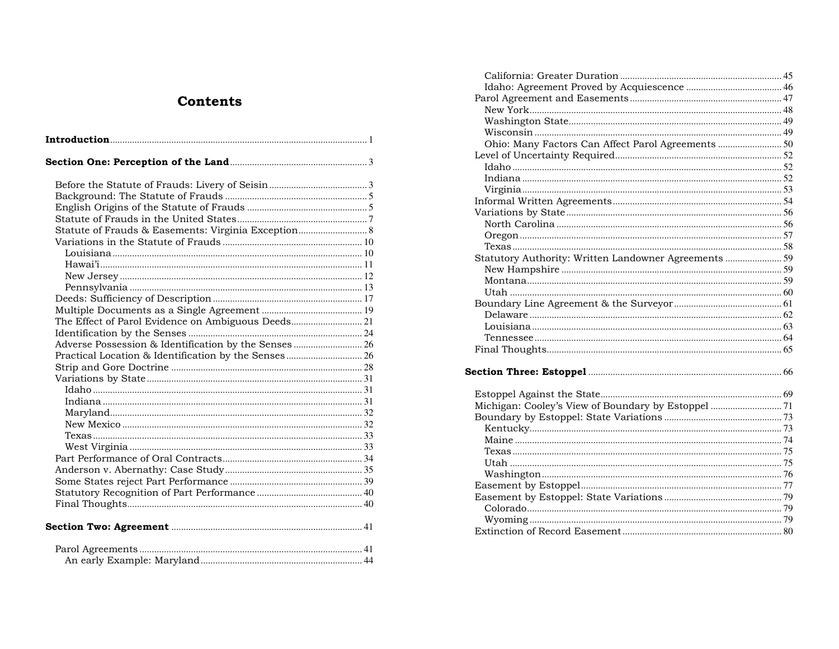# **Contents**

| Statute of Frauds & Easements: Virginia Exception 8   |  |
|-------------------------------------------------------|--|
|                                                       |  |
|                                                       |  |
|                                                       |  |
|                                                       |  |
|                                                       |  |
|                                                       |  |
|                                                       |  |
|                                                       |  |
|                                                       |  |
| Adverse Possession & Identification by the Senses  26 |  |
|                                                       |  |
|                                                       |  |
|                                                       |  |
|                                                       |  |
|                                                       |  |
|                                                       |  |
|                                                       |  |
|                                                       |  |
|                                                       |  |
|                                                       |  |
|                                                       |  |
|                                                       |  |
|                                                       |  |
|                                                       |  |
|                                                       |  |
|                                                       |  |
|                                                       |  |

| Ohio: Many Factors Can Affect Parol Agreements  50    |  |
|-------------------------------------------------------|--|
|                                                       |  |
|                                                       |  |
|                                                       |  |
|                                                       |  |
|                                                       |  |
|                                                       |  |
|                                                       |  |
|                                                       |  |
|                                                       |  |
| Statutory Authority: Written Landowner Agreements  59 |  |
|                                                       |  |
|                                                       |  |
|                                                       |  |
|                                                       |  |
|                                                       |  |
|                                                       |  |
|                                                       |  |
|                                                       |  |
|                                                       |  |
|                                                       |  |
|                                                       |  |
|                                                       |  |
|                                                       |  |
|                                                       |  |
|                                                       |  |
|                                                       |  |
|                                                       |  |
|                                                       |  |
|                                                       |  |
|                                                       |  |
|                                                       |  |
|                                                       |  |
|                                                       |  |
|                                                       |  |
|                                                       |  |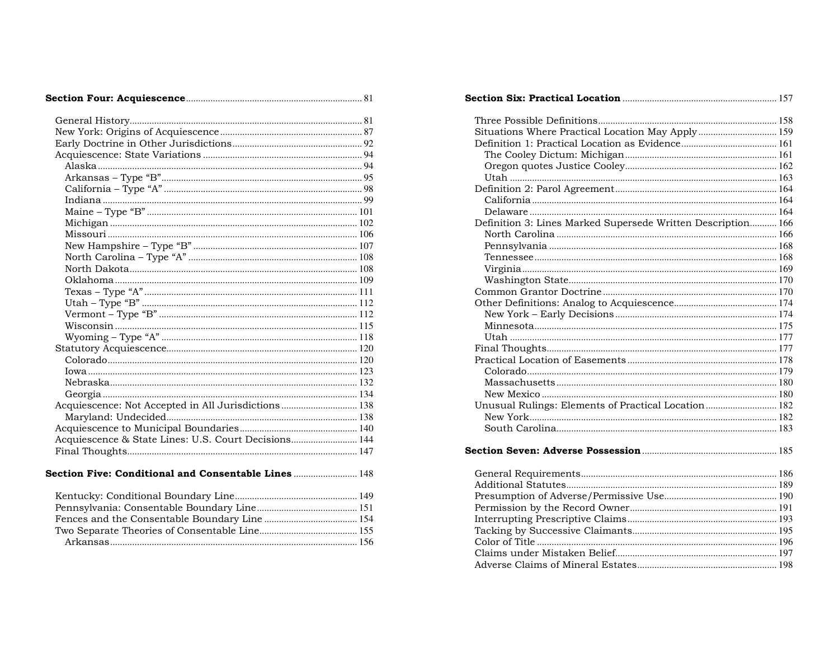|--|--|--|

| Acquiescence: Not Accepted in All Jurisdictions  138 |
|------------------------------------------------------|
|                                                      |
|                                                      |
| Acquiescence & State Lines: U.S. Court Decisions 144 |
|                                                      |
|                                                      |
| Section Five: Conditional and Consentable Lines  148 |

| Situations Where Practical Location May Apply  159           |  |
|--------------------------------------------------------------|--|
|                                                              |  |
|                                                              |  |
|                                                              |  |
|                                                              |  |
|                                                              |  |
|                                                              |  |
|                                                              |  |
| Definition 3: Lines Marked Supersede Written Description 166 |  |
|                                                              |  |
|                                                              |  |
|                                                              |  |
|                                                              |  |
|                                                              |  |
|                                                              |  |
|                                                              |  |
|                                                              |  |
|                                                              |  |
|                                                              |  |
|                                                              |  |
|                                                              |  |
|                                                              |  |
|                                                              |  |
|                                                              |  |
| Unusual Rulings: Elements of Practical Location 182          |  |
|                                                              |  |
|                                                              |  |
|                                                              |  |
|                                                              |  |
|                                                              |  |
|                                                              |  |
|                                                              |  |
|                                                              |  |
|                                                              |  |
|                                                              |  |
|                                                              |  |
|                                                              |  |
|                                                              |  |
|                                                              |  |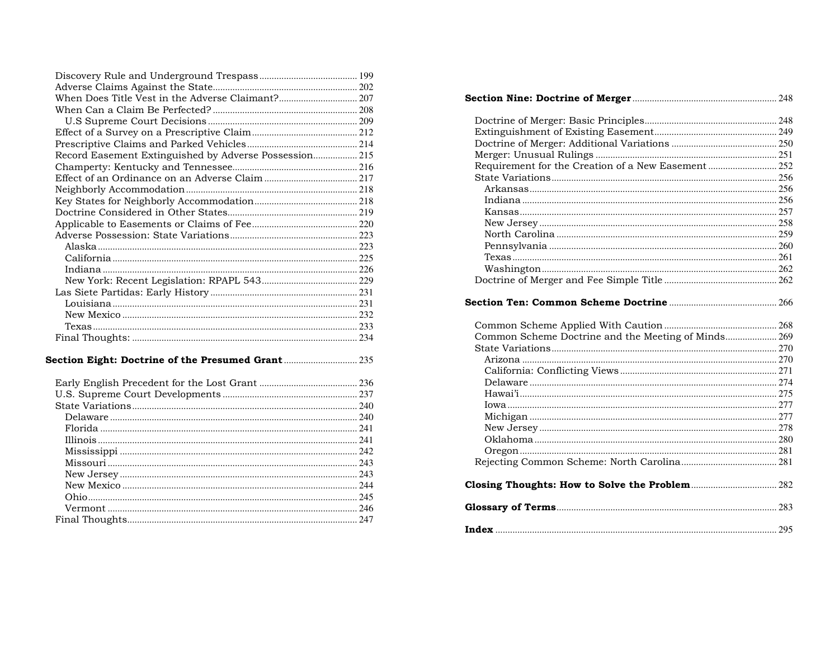| Record Easement Extinguished by Adverse Possession 215 |  |
|--------------------------------------------------------|--|
|                                                        |  |
|                                                        |  |
|                                                        |  |
|                                                        |  |
|                                                        |  |
|                                                        |  |
|                                                        |  |
|                                                        |  |
|                                                        |  |
|                                                        |  |
|                                                        |  |
|                                                        |  |
|                                                        |  |
|                                                        |  |
|                                                        |  |
|                                                        |  |
|                                                        |  |

### 

| Requirement for the Creation of a New Easement  252 |  |
|-----------------------------------------------------|--|
|                                                     |  |
|                                                     |  |
|                                                     |  |
|                                                     |  |
|                                                     |  |
|                                                     |  |
|                                                     |  |
|                                                     |  |
|                                                     |  |
|                                                     |  |
|                                                     |  |
|                                                     |  |
| Common Scheme Doctrine and the Meeting of Minds 269 |  |
|                                                     |  |
|                                                     |  |
|                                                     |  |
|                                                     |  |
|                                                     |  |
|                                                     |  |
|                                                     |  |
|                                                     |  |
|                                                     |  |
|                                                     |  |
|                                                     |  |
|                                                     |  |
|                                                     |  |
|                                                     |  |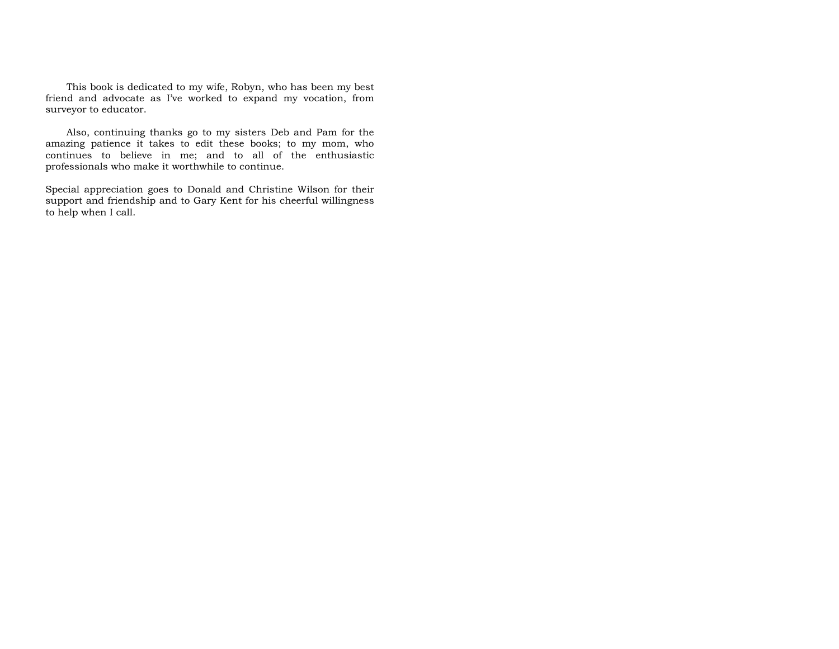This book is dedicated to my wife, Robyn, who has been my best friend and advocate as I've worked to expand my vocation, from surveyor to educator.

Also, continuing thanks go to my sisters Deb and Pam for the amazing patience it takes to edit these books; to my mom, who continues to believe in me; and to all of the enthusiastic professionals who make it worthwhile to continue.

Special appreciation goes to Donald and Christine Wilson for their support and friendship and to Gary Kent for his cheerful willingness to help when I call.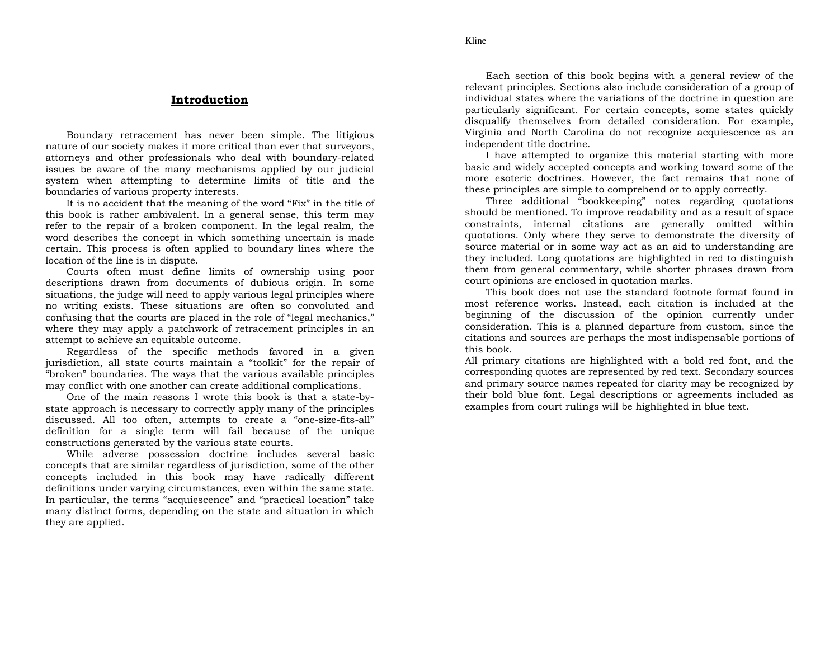#### **Introduction**

 Boundary retracement has never been simple. The litigious nature of our society makes it more critical than ever that surveyors, attorneys and other professionals who deal with boundary-related issues be aware of the many mechanisms applied by our judicial system when attempting to determine limits of title and the boundaries of various property interests.

 It is no accident that the meaning of the word "Fix" in the title of this book is rather ambivalent. In a general sense, this term may refer to the repair of a broken component. In the legal realm, the word describes the concept in which something uncertain is made certain. This process is often applied to boundary lines where the location of the line is in dispute.

 Courts often must define limits of ownership using poor descriptions drawn from documents of dubious origin. In some situations, the judge will need to apply various legal principles where no writing exists. These situations are often so convoluted and confusing that the courts are placed in the role of "legal mechanics," where they may apply a patchwork of retracement principles in an attempt to achieve an equitable outcome.

 Regardless of the specific methods favored in a given jurisdiction, all state courts maintain a "toolkit" for the repair of "broken" boundaries. The ways that the various available principles may conflict with one another can create additional complications.

 One of the main reasons I wrote this book is that a state-bystate approach is necessary to correctly apply many of the principles discussed. All too often, attempts to create a "one-size-fits-all" definition for a single term will fail because of the unique constructions generated by the various state courts.

 While adverse possession doctrine includes several basic concepts that are similar regardless of jurisdiction, some of the other concepts included in this book may have radically different definitions under varying circumstances, even within the same state. In particular, the terms "acquiescence" and "practical location" take many distinct forms, depending on the state and situation in which they are applied.

Each section of this book begins with a general review of the relevant principles. Sections also include consideration of a group of individual states where the variations of the doctrine in question are particularly significant. For certain concepts, some states quickly disqualify themselves from detailed consideration. For example, Virginia and North Carolina do not recognize acquiescence as an independent title doctrine.

 I have attempted to organize this material starting with more basic and widely accepted concepts and working toward some of the more esoteric doctrines. However, the fact remains that none of these principles are simple to comprehend or to apply correctly.

 Three additional "bookkeeping" notes regarding quotations should be mentioned. To improve readability and as a result of space constraints, internal citations are generally omitted within quotations. Only where they serve to demonstrate the diversity of source material or in some way act as an aid to understanding are they included. Long quotations are highlighted in red to distinguish them from general commentary, while shorter phrases drawn from court opinions are enclosed in quotation marks.

 This book does not use the standard footnote format found in most reference works. Instead, each citation is included at the beginning of the discussion of the opinion currently under consideration. This is a planned departure from custom, since the citations and sources are perhaps the most indispensable portions of this book.

 All primary citations are highlighted with a bold red font, and the corresponding quotes are represented by red text. Secondary sources and primary source names repeated for clarity may be recognized by their bold blue font. Legal descriptions or agreements included as examples from court rulings will be highlighted in blue text.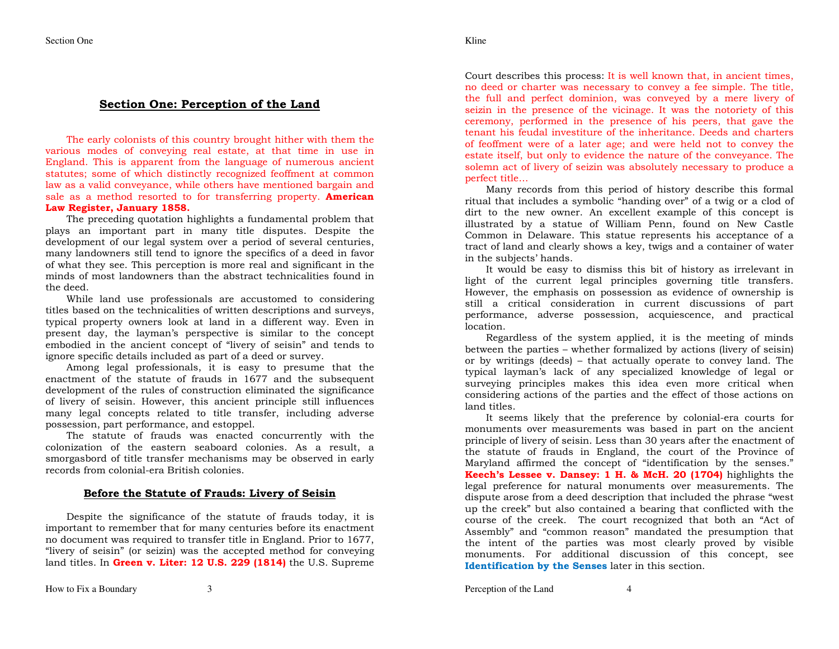#### **Section One: Perception of the Land**

The early colonists of this country brought hither with them the various modes of conveying real estate, at that time in use in England. This is apparent from the language of numerous ancient statutes; some of which distinctly recognized feoffment at common law as a valid conveyance, while others have mentioned bargain and sale as a method resorted to for transferring property. **American Law Register, January 1858.**

 The preceding quotation highlights a fundamental problem that plays an important part in many title disputes. Despite the development of our legal system over a period of several centuries, many landowners still tend to ignore the specifics of a deed in favor of what they see. This perception is more real and significant in the minds of most landowners than the abstract technicalities found in the deed.

 While land use professionals are accustomed to considering titles based on the technicalities of written descriptions and surveys, typical property owners look at land in a different way. Even in present day, the layman's perspective is similar to the concept embodied in the ancient concept of "livery of seisin" and tends to ignore specific details included as part of a deed or survey.

 Among legal professionals, it is easy to presume that the enactment of the statute of frauds in 1677 and the subsequent development of the rules of construction eliminated the significance of livery of seisin. However, this ancient principle still influences many legal concepts related to title transfer, including adverse possession, part performance, and estoppel.

 The statute of frauds was enacted concurrently with the colonization of the eastern seaboard colonies. As a result, a smorgasbord of title transfer mechanisms may be observed in early records from colonial-era British colonies.

#### **Before the Statute of Frauds: Livery of Seisin**

Despite the significance of the statute of frauds today, it is important to remember that for many centuries before its enactment no document was required to transfer title in England. Prior to 1677, "livery of seisin" (or seizin) was the accepted method for conveying land titles. In **Green v. Liter: 12 U.S. 229 (1814)** the U.S. Supreme Court describes this process: It is well known that, in ancient times, no deed or charter was necessary to convey a fee simple. The title, the full and perfect dominion, was conveyed by a mere livery of seizin in the presence of the vicinage. It was the notoriety of this ceremony, performed in the presence of his peers, that gave the tenant his feudal investiture of the inheritance. Deeds and charters of feoffment were of a later age; and were held not to convey the estate itself, but only to evidence the nature of the conveyance. The solemn act of livery of seizin was absolutely necessary to produce a perfect title…

 Many records from this period of history describe this formal ritual that includes a symbolic "handing over" of a twig or a clod of dirt to the new owner. An excellent example of this concept is illustrated by a statue of William Penn, found on New Castle Common in Delaware. This statue represents his acceptance of a tract of land and clearly shows a key, twigs and a container of water in the subjects' hands.

 It would be easy to dismiss this bit of history as irrelevant in light of the current legal principles governing title transfers. However, the emphasis on possession as evidence of ownership is still a critical consideration in current discussions of part performance, adverse possession, acquiescence, and practical location.

 Regardless of the system applied, it is the meeting of minds between the parties – whether formalized by actions (livery of seisin) or by writings (deeds) – that actually operate to convey land. The typical layman's lack of any specialized knowledge of legal or surveying principles makes this idea even more critical when considering actions of the parties and the effect of those actions on land titles.

 It seems likely that the preference by colonial-era courts for monuments over measurements was based in part on the ancient principle of livery of seisin. Less than 30 years after the enactment of the statute of frauds in England, the court of the Province of Maryland affirmed the concept of "identification by the senses." **Keech's Lessee v. Dansey: 1 H. & McH. 20 (1704)** highlights the legal preference for natural monuments over measurements. The dispute arose from a deed description that included the phrase "west up the creek" but also contained a bearing that conflicted with the course of the creek. The court recognized that both an "Act of Assembly" and "common reason" mandated the presumption that the intent of the parties was most clearly proved by visible monuments. For additional discussion of this concept, see **Identification by the Senses** later in this section.

Perception of the Land 4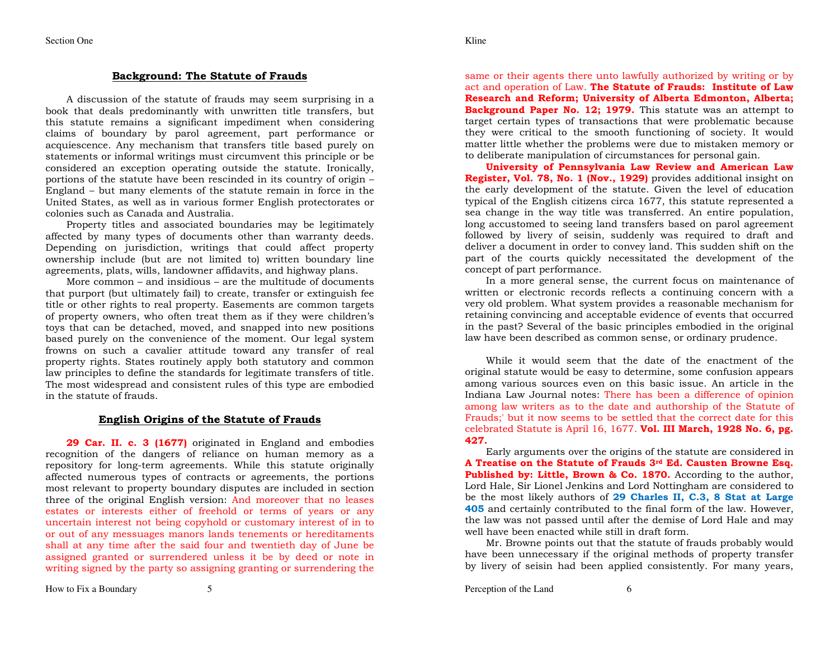#### **Background: The Statute of Frauds**

A discussion of the statute of frauds may seem surprising in a book that deals predominantly with unwritten title transfers, but this statute remains a significant impediment when considering claims of boundary by parol agreement, part performance or acquiescence. Any mechanism that transfers title based purely on statements or informal writings must circumvent this principle or be considered an exception operating outside the statute. Ironically, portions of the statute have been rescinded in its country of origin – England – but many elements of the statute remain in force in the United States, as well as in various former English protectorates or colonies such as Canada and Australia.

 Property titles and associated boundaries may be legitimately affected by many types of documents other than warranty deeds. Depending on jurisdiction, writings that could affect property ownership include (but are not limited to) written boundary line agreements, plats, wills, landowner affidavits, and highway plans.

 More common – and insidious – are the multitude of documents that purport (but ultimately fail) to create, transfer or extinguish fee title or other rights to real property. Easements are common targets of property owners, who often treat them as if they were children's toys that can be detached, moved, and snapped into new positions based purely on the convenience of the moment. Our legal system frowns on such a cavalier attitude toward any transfer of real property rights. States routinely apply both statutory and common law principles to define the standards for legitimate transfers of title. The most widespread and consistent rules of this type are embodied in the statute of frauds.

#### **English Origins of the Statute of Frauds**

**29 Car. II. c. 3 (1677)** originated in England and embodies recognition of the dangers of reliance on human memory as a repository for long-term agreements. While this statute originally affected numerous types of contracts or agreements, the portions most relevant to property boundary disputes are included in section three of the original English version: And moreover that no leases estates or interests either of freehold or terms of years or any uncertain interest not being copyhold or customary interest of in to or out of any messuages manors lands tenements or hereditaments shall at any time after the said four and twentieth day of June be assigned granted or surrendered unless it be by deed or note in writing signed by the party so assigning granting or surrendering the same or their agents there unto lawfully authorized by writing or by act and operation of Law. **The Statute of Frauds: Institute of Law Research and Reform; University of Alberta Edmonton, Alberta; Background Paper No. 12; 1979.** This statute was an attempt to target certain types of transactions that were problematic because they were critical to the smooth functioning of society. It would matter little whether the problems were due to mistaken memory or to deliberate manipulation of circumstances for personal gain.

 **University of Pennsylvania Law Review and American Law Register, Vol. 78, No. 1 (Nov., 1929)** provides additional insight on the early development of the statute. Given the level of education typical of the English citizens circa 1677, this statute represented a sea change in the way title was transferred. An entire population, long accustomed to seeing land transfers based on parol agreement followed by livery of seisin, suddenly was required to draft and deliver a document in order to convey land. This sudden shift on the part of the courts quickly necessitated the development of the concept of part performance.

 In a more general sense, the current focus on maintenance of written or electronic records reflects a continuing concern with a very old problem. What system provides a reasonable mechanism for retaining convincing and acceptable evidence of events that occurred in the past? Several of the basic principles embodied in the original law have been described as common sense, or ordinary prudence.

While it would seem that the date of the enactment of the original statute would be easy to determine, some confusion appears among various sources even on this basic issue. An article in the Indiana Law Journal notes: There has been a difference of opinion among law writers as to the date and authorship of the Statute of Frauds;' but it now seems to be settled that the correct date for this celebrated Statute is April 16, 1677. **Vol. III March, 1928 No. 6, pg. 427.**

 Early arguments over the origins of the statute are considered in **A Treatise on the Statute of Frauds 3rd Ed. Causten Browne Esq. Published by: Little, Brown & Co. 1870.** According to the author, Lord Hale, Sir Lionel Jenkins and Lord Nottingham are considered to be the most likely authors of **29 Charles II, C.3, 8 Stat at Large 405** and certainly contributed to the final form of the law. However, the law was not passed until after the demise of Lord Hale and may well have been enacted while still in draft form.

 Mr. Browne points out that the statute of frauds probably would have been unnecessary if the original methods of property transfer by livery of seisin had been applied consistently. For many years,

How to Fix a Boundary 5